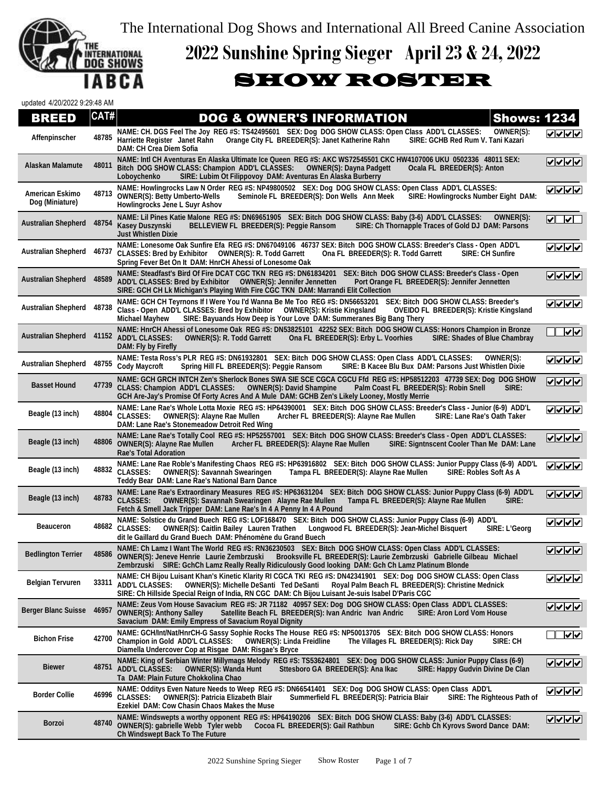The International Dog Shows and International All Breed Canine Association



## **2022 Sunshine Spring Sieger April 23 & 24, 2022**

## SHOW ROSTER

| updated 4/20/2022 9:29:48 AM       |       |                                                                                                                                                                                                                                                                                                                                                      |                                             |
|------------------------------------|-------|------------------------------------------------------------------------------------------------------------------------------------------------------------------------------------------------------------------------------------------------------------------------------------------------------------------------------------------------------|---------------------------------------------|
| <b>BREED</b>                       | CAT#  | <b>DOG &amp; OWNER'S INFORMATION</b><br><b>Shows: 1234</b>                                                                                                                                                                                                                                                                                           |                                             |
| Affenpinscher                      | 48785 | NAME: CH. DGS Feel The Joy REG #S: TS42495601 SEX: Dog DOG SHOW CLASS: Open Class ADD'L CLASSES:<br>OWNER(S):<br>Orange City FL BREEDER(S): Janet Katherine Rahn<br>Harriette Register Janet Rahn<br>SIRE: GCHB Red Rum V. Tani Kazari<br><b>DAM: CH Crea Diem Sofia</b>                                                                             | ママママ                                        |
| Alaskan Malamute                   | 48011 | NAME: Intl CH Aventuras En Alaska Ultimate Ice Queen REG #S: AKC WS72545501 CKC HW4107006 UKU 0502336 48011 SEX:<br>Bitch DOG SHOW CLASS: Champion ADD'L CLASSES:<br><b>OWNER(S): Dayna Padgett</b><br>Ocala FL BREEDER(S): Anton<br>SIRE: Lubim Ot Filippovoy DAM: Aventuras En Alaska Burberry<br>Loboychenko                                      | $ V $ $ V $                                 |
| American Eskimo<br>Dog (Miniature) | 48713 | NAME: Howlingrocks Law N Order REG #S: NP49800502 SEX: Dog DOG SHOW CLASS: Open Class ADD'L CLASSES:<br><b>OWNER(S): Betty Umberto-Wells</b><br>Seminole FL BREEDER(S): Don Wells Ann Meek<br>SIRE: Howlingrocks Number Eight DAM:<br><b>Howlingrocks Jene L Suyr Ashov</b>                                                                          | ママママ                                        |
| <b>Australian Shepherd</b>         | 48754 | NAME: Lil Pines Katie Malone REG #S: DN69651905 SEX: Bitch DOG SHOW CLASS: Baby (3-6) ADD'L CLASSES:<br>OWNER(S):<br>Kasey Duszynski<br>BELLEVIEW FL BREEDER(S): Peggie Ransom<br>SIRE: Ch Thornapple Traces of Gold DJ DAM: Parsons<br><b>Just Whistlen Dixie</b>                                                                                   | $\sqrt{ \mathbf{v} }$                       |
| <b>Australian Shepherd</b>         | 46737 | NAME: Lonesome Oak Sunfire Efa REG #S: DN67049106 46737 SEX: Bitch DOG SHOW CLASS: Breeder's Class - Open ADD'L<br>CLASSES: Bred by Exhibitor  OWNER(S): R. Todd Garrett<br>Ona FL BREEDER(S): R. Todd Garrett<br>SIRE: CH Sunfire<br>Spring Fever Bet On It DAM: HnrCH Ahessi of Lonesome Oak                                                       | ママママ                                        |
| <b>Australian Shepherd</b>         | 48589 | NAME: Steadfast's Bird Of Fire DCAT CGC TKN REG #S: DN61834201 SEX: Bitch DOG SHOW CLASS: Breeder's Class - Open<br>ADD'L CLASSES: Bred by Exhibitor  OWNER(S): Jennifer Jennetten<br>Port Orange FL BREEDER(S): Jennifer Jennetten<br>SIRE: GCH CH Lk Michigan's Playing With Fire CGC TKN DAM: Marrandi Elit Collection                            | $ v $ $ v $                                 |
| <b>Australian Shepherd</b>         | 48738 | NAME: GCH CH Tevrnons If I Were You I'd Wanna Be Me Too REG #S: DN56653201 SEX: Bitch DOG SHOW CLASS: Breeder's<br>Class - Open ADD'L CLASSES: Bred by Exhibitor  OWNER(S): Kristie Kingsland<br><b>OVEIDO FL BREEDER(S): Kristie Kingsland</b><br><b>Michael Mayhew</b><br>SIRE: Bayuands How Deep is Your Love DAM: Summeranes Big Bang Thery      | ママママ                                        |
| <b>Australian Shepherd</b>         |       | NAME: HnrCH Ahessi of Lonesome Oak REG #S: DN53825101 42252 SEX: Bitch DOG SHOW CLASS: Honors Champion in Bronze<br>41152 ADD'L CLASSES:<br>SIRE: Shades of Blue Chambray<br><b>OWNER(S): R. Todd Garrett</b><br>Ona FL BREEDER(S): Erby L. Voorhies<br>DAM: Fly by Firefly                                                                          | $\overline{\mathsf{v}}$                     |
| <b>Australian Shepherd</b>         |       | NAME: Testa Ross's PLR REG #S: DN61932801 SEX: Bitch DOG SHOW CLASS: Open Class ADD'L CLASSES:<br>OWNER(S):<br>48755 Cody Maycroft<br>SIRE: B Kacee Blu Bux DAM: Parsons Just Whistlen Dixie<br>Spring Hill FL BREEDER(S): Peggie Ransom                                                                                                             | $ V $ $ V $                                 |
| <b>Basset Hound</b>                | 47739 | NAME: GCH GRCH INTCH Zen's Sherlock Bones SWA SIE SCE CGCA CGCU Ffd REG #S: HP58512203 47739 SEX: Dog DOG SHOW<br><b>CLASS: Champion ADD'L CLASSES:</b><br><b>OWNER(S): David Shampine</b><br>Palm Coast FL BREEDER(S): Robin Snell<br>SIRE:<br>GCH Are-Jay's Promise Of Forty Acres And A Mule DAM: GCHB Zen's Likely Looney, Mostly Merrie         | ママママ                                        |
| Beagle (13 inch)                   | 48804 | NAME: Lane Rae's Whole Lotta Moxie REG #S: HP64390001 SEX: Bitch DOG SHOW CLASS: Breeder's Class - Junior (6-9) ADD'L<br><b>CLASSES:</b><br><b>OWNER(S): Alayne Rae Mullen</b><br>Archer FL BREEDER(S): Alayne Rae Mullen<br>SIRE: Lane Rae's Oath Taker<br>DAM: Lane Rae's Stonemeadow Detroit Red Wing                                             | $  \sqrt{ \mathbf{v}  \sqrt{ \mathbf{v} }}$ |
| Beagle (13 inch)                   |       | NAME: Lane Rae's Totally Cool REG #S: HP52557001 SEX: Bitch DOG SHOW CLASS: Breeder's Class - Open ADD'L CLASSES:<br>48806 OWNER(S): Alayne Rae Mullen<br>Archer FL BREEDER(S): Alayne Rae Mullen<br>SIRE: Signtnscent Cooler Than Me DAM: Lane<br><b>Rae's Total Adoration</b>                                                                      | $ V $ $ V $                                 |
| Beagle (13 inch)                   |       | NAME: Lane Rae Roble's Manifesting Chaos REG #S: HP63916802 SEX: Bitch DOG SHOW CLASS: Junior Puppy Class (6-9) ADD'L<br>48832 CLASSES:<br><b>OWNER(S): Savannah Swearingen</b><br>Tampa FL BREEDER(S): Alayne Rae Mullen<br>SIRE: Robles Soft As A<br>Teddy Bear DAM: Lane Rae's National Barn Dance                                                | ママママ                                        |
| Beagle (13 inch)                   | 48783 | NAME: Lane Rae's Extraordinary Measures REG #S: HP63631204 SEX: Bitch DOG SHOW CLASS: Junior Puppy Class (6-9) ADD'L<br><b>CLASSES:</b><br><b>OWNER(S): Savannah Swearingen Alayne Rae Mullen</b><br>Tampa FL BREEDER(S): Alayne Rae Mullen<br>SIRE:<br>Fetch & Smell Jack Tripper DAM: Lane Rae's In 4 A Penny In 4 A Pound                         | $ V $ $ V $                                 |
| <b>Beauceron</b>                   |       | NAME: Solstice du Grand Buech REG #S: LOF168470 SEX: Bitch DOG SHOW CLASS: Junior Puppy Class (6-9) ADD'L<br>48682 CLASSES:<br><b>OWNER(S): Caitlin Bailey Lauren Trathen</b><br>Longwood FL BREEDER(S): Jean-Michel Bisquert<br>SIRE: L'Georg<br>dit le Gaillard du Grand Buech DAM: Phénomène du Grand Buech                                       | ママママ                                        |
| <b>Bedlington Terrier</b>          | 48586 | NAME: Ch Lamz I Want The World REG #S: RN36230503 SEX: Bitch DOG SHOW CLASS: Open Class ADD'L CLASSES:<br>OWNER(S): Jeneve Henrie Laurie Zembrzuski<br>Brooksville FL BREEDER(S): Laurie Zembrzuski Gabrielle Gilbeau Michael<br>Zembrzuski SIRE: GchCh Lamz Really Really Ridiculously Good looking DAM: Gch Ch Lamz Platinum Blonde                | <u>VVVV</u>                                 |
| <b>Belgian Tervuren</b>            | 33311 | NAME: CH Bijou Luisant Khan's Kinetic Klarity RI CGCA TKI REG #S: DN42341901 SEX: Dog DOG SHOW CLASS: Open Class<br><b>ADD'L CLASSES:</b><br><b>OWNER(S): Michelle DeSanti Ted DeSanti</b><br>Royal Palm Beach FL BREEDER(S): Christine Mednick<br>SIRE: Ch Hillside Special Reign of India, RN CGC DAM: Ch Bijou Luisant Je-suis Isabel D'Paris CGC | $ v $ v $ v $                               |
| Berger Blanc Suisse                | 46957 | NAME: Zeus Vom House Savacium REG #S: JR 71182 40957 SEX: Dog DOG SHOW CLASS: Open Class ADD'L CLASSES:<br><b>OWNER(S): Anthony Salley</b><br>Satellite Beach FL BREEDER(S): Ivan Andric Ivan Andric<br><b>SIRE: Aron Lord Vom House</b><br>Savacium DAM: Emily Empress of Savacium Royal Dignity                                                    | $\sqrt{\sqrt{\sqrt{\sqrt{\gamma}}}}$        |
| <b>Bichon Frise</b>                |       | NAME: GCH/Int/Nat/HnrCH-G Sassy Sophie Rocks The House REG #S: NP50013705 SEX: Bitch DOG SHOW CLASS: Honors<br>42700 Champion in Gold ADD'L CLASSES:<br><b>OWNER(S): Linda Freidline</b><br>The Villages FL BREEDER(S): Rick Day<br>SIRE: CH<br>Diamella Undercover Cop at Risgae DAM: Risgae's Bryce                                                | MV                                          |
| <b>Biewer</b>                      | 48751 | NAME: King of Serbian Winter Millymags Melody REG #S: TS53624801 SEX: Dog DOG SHOW CLASS: Junior Puppy Class (6-9)<br><b>ADD'L CLASSES:</b><br><b>OWNER(S): Wanda Hunt</b><br>Sttesboro GA BREEDER(S): Ana Ikac<br>SIRE: Happy Gudvin Divine De Clan<br>Ta DAM: Plain Future Chokkolina Chao                                                         | $ v $ v $ v $                               |
| <b>Border Collie</b>               | 46996 | NAME: Odditys Even Nature Needs to Weep REG #S: DN66541401 SEX: Dog DOG SHOW CLASS: Open Class ADD'L<br><b>CLASSES:</b><br><b>OWNER(S): Patricia Elizabeth Blair</b><br>Summerfield FL BREEDER(S): Patricia Blair<br>SIRE: The Righteous Path of<br>Ezekiel DAM: Cow Chasin Chaos Makes the Muse                                                     | <u>VVVV</u>                                 |
| <b>Borzoi</b>                      | 48740 | NAME: Windswepts a worthy opponent REG #S: HP64190206 SEX: Bitch DOG SHOW CLASS: Baby (3-6) ADD'L CLASSES:<br>OWNER(S): gabrielle Webb Tyler webb<br>Cocoa FL BREEDER(S): Gail Rathbun<br>SIRE: Gchb Ch Kyrovs Sword Dance DAM:<br>Ch Windswept Back To The Future                                                                                   |                                             |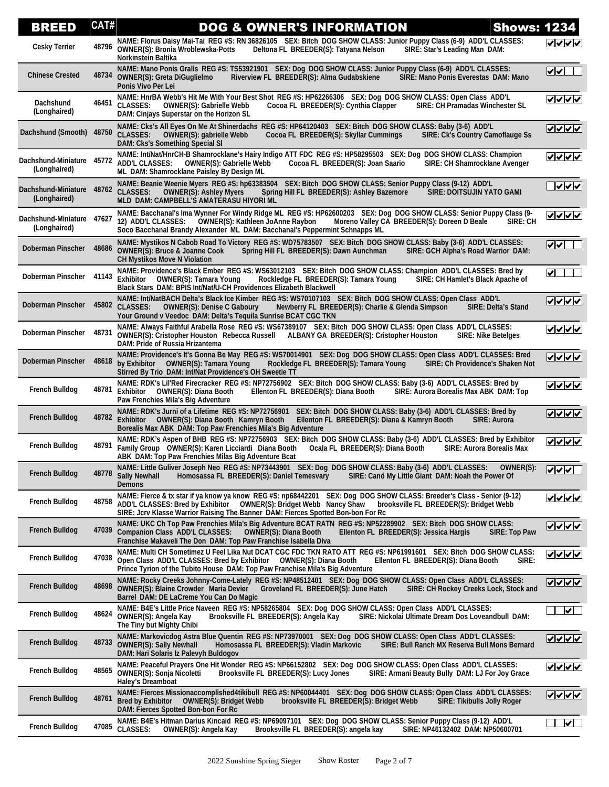| <b>BREED</b>                                       | CAT#  | <b>DOG &amp; OWNER'S INFORMATION</b><br><b>Shows: 1234</b>                                                                                                                                                                                                                                                                   |                                  |
|----------------------------------------------------|-------|------------------------------------------------------------------------------------------------------------------------------------------------------------------------------------------------------------------------------------------------------------------------------------------------------------------------------|----------------------------------|
| <b>Cesky Terrier</b>                               | 48796 | NAME: Florus Daisy Mai-Tai REG #S: RN 36826105 SEX: Bitch DOG SHOW CLASS: Junior Puppy Class (6-9) ADD'L CLASSES:<br><b>OWNER(S): Bronia Wroblewska-Potts</b><br>Deltona FL BREEDER(S): Tatyana Nelson<br>SIRE: Star's Leading Man DAM:<br>Norkinstein Baltika                                                               | ママママ                             |
| <b>Chinese Crested</b>                             |       | NAME: Mano Ponis Gralis REG #S: TS53921901 SEX: Dog DOG SHOW CLASS: Junior Puppy Class (6-9) ADD'L CLASSES:<br>48734 OWNER(S): Greta DiGuglielmo<br>Riverview FL BREEDER(S): Alma Gudabskiene<br>SIRE: Mano Ponis Everestas DAM: Mano<br>Ponis Vivo Per Lei                                                                  | $\sqrt{1-\frac{1}{2}}$           |
| Dachshund<br>(Longhaired)                          |       | NAME: HnrBA Webb's Hit Me With Your Best Shot REG #S: HP62266306 SEX: Dog DOG SHOW CLASS: Open Class ADD'L<br>46451 CLASSES:<br>Cocoa FL BREEDER(S): Cynthia Clapper<br><b>SIRE: CH Pramadas Winchester SL</b><br><b>OWNER(S): Gabrielle Webb</b><br>DAM: Cinjays Superstar on the Horizon SL                                | マママン                             |
| Dachshund (Smooth)                                 | 48750 | NAME: Cks's All Eyes On Me At Shinerdachs REG #S: HP64120403 SEX: Bitch DOG SHOW CLASS: Baby (3-6) ADD'L<br><b>CLASSES:</b><br><b>OWNER(S): gabrielle Webb</b><br>SIRE: Ck's Country Camoflauge Ss<br>Cocoa FL BREEDER(S): Skyllar Cummings<br>DAM: Cks's Something Special SI                                               | ママママ                             |
| Dachshund-Miniature 45772<br>(Longhaired)          |       | NAME: Int/Nat/HnrCH-B Shamrocklane's Hairy Indigo ATT FDC REG #S: HP58295503 SEX: Dog DOG SHOW CLASS: Champion<br>ADD'L CLASSES: OWNER(S): Gabrielle Webb<br>Cocoa FL BREEDER(S): Joan Saario<br>SIRE: CH Shamrocklane Avenger<br>ML DAM: Shamrocklane Paisley By Design ML                                                  | ママママ                             |
| Dachshund-Miniature 48762 CLASSES:<br>(Longhaired) |       | NAME: Beanie Weenie Myers REG #S: hp63383504 SEX: Bitch DOG SHOW CLASS: Senior Puppy Class (9-12) ADD'L<br><b>OWNER(S): Ashley Myers</b><br>Spring Hill FL BREEDER(S): Ashley Bazemore<br><b>SIRE: DOITSUJIN YATO GAMI</b><br>MLD DAM: CAMPBELL'S AMATERASU HIYORI ML                                                        | $\sqrt{\sqrt{\sqrt{\varkappa}}}$ |
| Dachshund-Miniature 47627<br>(Longhaired)          |       | NAME: Bacchanal's Ima Wynner For Windy Ridge ML REG #S: HP62600203 SEX: Dog DOG SHOW CLASS: Senior Puppy Class (9-<br>OWNER(S): Kathleen JoAnne Raybon<br>Moreno Valley CA BREEDER(S): Doreen D Beale<br>12) ADD'L CLASSES:<br>SIRE: CH<br>Soco Bacchanal Brandy Alexander ML DAM: Bacchanal's Peppermint Schnapps ML        | ママママ                             |
| Doberman Pinscher                                  | 48686 | NAME: Mystikos N Cabob Road To Victory REG #S: WD75783507 SEX: Bitch DOG SHOW CLASS: Baby (3-6) ADD'L CLASSES:<br><b>OWNER(S): Bruce &amp; Joanne Cook</b><br>Spring Hill FL BREEDER(S): Dawn Aunchman<br>SIRE: GCH Alpha's Road Warrior DAM:<br><b>CH Mystikos Move N Violation</b>                                         | $\overline{\mathsf{v}}$          |
| Doberman Pinscher                                  | 41143 | NAME: Providence's Black Ember REG #S: WS63012103 SEX: Bitch DOG SHOW CLASS: Champion ADD'L CLASSES: Bred by<br>Exhibitor<br><b>OWNER(S): Tamara Young</b><br>Rockledge FL BREEDER(S): Tamara Young<br>SIRE: CH Hamlet's Black Apache of<br>Black Stars DAM: BPIS Int/Nat/U-CH Providences Elizabeth Blackwell               | $\blacktriangledown$             |
| Doberman Pinscher                                  |       | NAME: Int/NatBACH Delta's Black Ice Kimber REG #S: WS70107103 SEX: Bitch DOG SHOW CLASS: Open Class ADD'L<br>45802 CLASSES:<br><b>OWNER(S): Denise C Gaboury</b><br>Newberry FL BREEDER(S): Charlie & Glenda Simpson<br><b>SIRE: Delta's Stand</b><br>Your Ground v Veedoc DAM: Delta's Tequila Sunrise BCAT CGC TKN         | $ v $ v $ v $                    |
| Doberman Pinscher                                  | 48731 | NAME: Always Faithful Arabella Rose REG #S: WS67389107 SEX: Bitch DOG SHOW CLASS: Open Class ADD'L CLASSES:<br>OWNER(S): Cristopher Houston Rebecca Russell ALBANY GA BREEDER(S): Cristopher Houston<br><b>SIRE: Nike Betelges</b><br>DAM: Pride of Russia Hrizantema                                                        | ママママ                             |
| Doberman Pinscher                                  | 48618 | NAME: Providence's It's Gonna Be May REG #S: WS70014901 SEX: Dog DOG SHOW CLASS: Open Class ADD'L CLASSES: Bred<br>by Exhibitor OWNER(S): Tamara Young<br>Rockledge FL BREEDER(S): Tamara Young<br>SIRE: Ch Providence's Shaken Not<br>Stirred By Trio DAM: Int/Nat Providence's OH Sweetie TT                               | $ V $ $ V $                      |
| <b>French Bulldog</b>                              |       | NAME: RDK's Lil'Red Firecracker REG #S: NP72756902 SEX: Bitch DOG SHOW CLASS: Baby (3-6) ADD'L CLASSES: Bred by<br>48781 Exhibitor<br>Ellenton FL BREEDER(S): Diana Booth<br>SIRE: Aurora Borealis Max ABK DAM: Top<br><b>OWNER(S): Diana Booth</b><br>Paw Frenchies Mila's Big Adventure                                    | ママママ                             |
| <b>French Bulldog</b>                              | 48782 | NAME: RDK's Jurni of a Lifetime REG #S: NP72756901 SEX: Bitch DOG SHOW CLASS: Baby (3-6) ADD'L CLASSES: Bred by<br>Exhibitor OWNER(S): Diana Booth Kamryn Booth<br>Ellenton FL BREEDER(S): Diana & Kamryn Booth<br><b>SIRE: Aurora</b><br>Borealis Max ABK DAM: Top Paw Frenchies Mila's Big Adventure                       | $ V $ $ V $                      |
| <b>French Bulldog</b>                              | 48791 | NAME: RDK's Aspen of BHB REG #S: NP72756903 SEX: Bitch DOG SHOW CLASS: Baby (3-6) ADD'L CLASSES: Bred by Exhibitor<br>Family Group OWNER(S): Karen Licciardi Diana Booth<br>Ocala FL BREEDER(S): Diana Booth<br><b>SIRE: Aurora Borealis Max</b><br>ABK DAM: Top Paw Frenchies Milas Big Adventure Bcat                      | ママママ                             |
| <b>French Bulldog</b>                              | 48778 | NAME: Little Guliver Joseph Neo REG #S: NP73443901 SEX: Dog DOG SHOW CLASS: Baby (3-6) ADD'L CLASSES: OWNER(S):<br><b>Sally Newhall</b><br>Homosassa FL BREEDER(S): Daniel Temesvary<br>SIRE: Canó My Little Giant DAM: Noah the Power Of<br><b>Demons</b>                                                                   | $V$ $V$ $V$                      |
| <b>French Bulldog</b>                              | 48758 | NAME: Fierce & tx star if ya know ya know REG #S: np68442201 SEX: Dog DOG SHOW CLASS: Breeder's Class - Senior (9-12)<br>ADD'L CLASSES: Bred by Exhibitor  OWNER(S): Bridget Webb  Nancy Shaw<br>brooksville FL BREEDER(S): Bridget Webb<br>SIRE: Jcrv Klasse Warrior Raising The Banner DAM: Fierces Spotted Bon-bon For Rc | <b>VVVV</b>                      |
| <b>French Bulldog</b>                              | 47039 | NAME: UKC Ch Top Paw Frenchies Mila's Big Adventure BCAT RATN REG #S: NP52289902 SEX: Bitch DOG SHOW CLASS:<br><b>Companion Class ADD'L CLASSES:</b><br><b>OWNER(S): Diana Booth</b><br>Ellenton FL BREEDER(S): Jessica Hargis<br><b>SIRE: Top Paw</b><br>Franchise Makaveli The Don DAM: Top Paw Franchise Isabella Diva    | ✓  ✓  ✓  ✓                       |
| <b>French Bulldog</b>                              | 47038 | NAME: Multi CH Sometimez U Feel Lika Nut DCAT CGC FDC TKN RATO ATT REG #S: NP61991601 SEX: Bitch DOG SHOW CLASS:<br>Open Class ADD'L CLASSES: Bred by Exhibitor  OWNER(S): Diana Booth<br>Ellenton FL BREEDER(S): Diana Booth<br>SIRE:<br>Prince Tyrion of the Tubito House DAM: Top Paw Franchise Mila's Big Adventure      | <b>✓  </b> ✓  ✓  ✓               |
| <b>French Bulldog</b>                              |       | NAME: Rocky Creeks Johnny-Come-Lately REG #S: NP48512401 SEX: Dog DOG SHOW CLASS: Open Class ADD'L CLASSES:<br>48698 OWNER(S): Blaine Crowder Maria Devier<br>Groveland FL BREEDER(S): June Hatch<br>SIRE: CH Rockey Creeks Lock, Stock and<br>Barrel DAM: DE LaCreme You Can Do Magic                                       | $ v $ v $ v $                    |
| <b>French Bulldog</b>                              | 48624 | NAME: B4E's Little Price Naveen REG #S: NP58265804 SEX: Dog DOG SHOW CLASS: Open Class ADD'L CLASSES:<br>OWNER(S): Angela Kay<br>Brooksville FL BREEDER(S): Angela Kay<br>SIRE: Nickolai Ultimate Dream Dos Loveandbull DAM:<br>The Tiny but Mighty Chibi                                                                    | ⊻∐                               |
| <b>French Bulldog</b>                              | 48733 | NAME: Markovicdog Astra Blue Quentin REG #S: NP73970001 SEX: Dog DOG SHOW CLASS: Open Class ADD'L CLASSES:<br><b>OWNER(S): Sally Newhall</b><br>SIRE: Bull Ranch MX Reserva Bull Mons Bernard<br>Homosassa FL BREEDER(S): Vladin Markovic<br>DAM: Hari Solaris Iz Palevyh Buldogov                                           | $ V $ $ V $                      |
| <b>French Bulldog</b>                              | 48565 | NAME: Peaceful Prayers One Hit Wonder REG #S: NP66152802 SEX: Dog DOG SHOW CLASS: Open Class ADD'L CLASSES:<br><b>OWNER(S): Sonja Nicoletti</b><br>Brooksville FL BREEDER(S): Lucy Jones<br>SIRE: Armani Beauty Bully DAM: LJ For Joy Grace<br><b>Haley's Dreamboat</b>                                                      | ママママ                             |
| <b>French Bulldog</b>                              | 48761 | NAME: Fierces Missionaccomplished4tikibull REG #S: NP60044401 SEX: Dog DOG SHOW CLASS: Open Class ADD'L CLASSES:<br>brooksville FL BREEDER(S): Bridget Webb<br><b>Bred by Exhibitor</b><br><b>OWNER(S): Bridget Webb</b><br><b>SIRE: Tikibulls Jolly Roger</b><br>DAM: Fierces Spotted Bon-bon For Rc                        | $ V $ $ V $                      |
| <b>French Bulldog</b>                              | 47085 | NAME: B4E's Hitman Darius Kincaid REG #S: NP69097101 SEX: Dog DOG SHOW CLASS: Senior Puppy Class (9-12) ADD'L<br><b>CLASSES:</b><br>OWNER(S): Angela Kay<br>Brooksville FL BREEDER(S): angela kay<br>SIRE: NP46132402 DAM: NP50600701                                                                                        | $\boxed{\blacktriangledown}$     |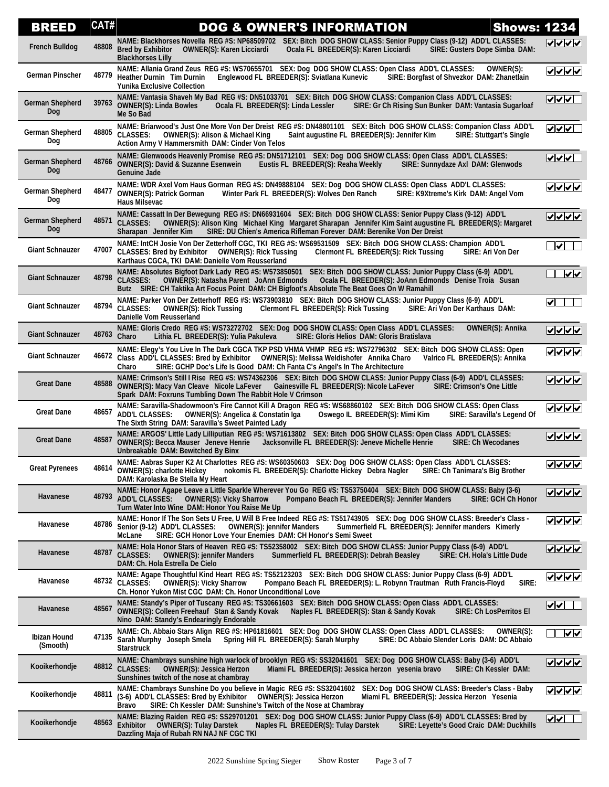| BREED                         | CAT#  | <b>DOG &amp; OWNER'S INFORMATION</b><br><b>Shows: 1234</b>                                                                                                                                                                                                                                                                                     |                                       |
|-------------------------------|-------|------------------------------------------------------------------------------------------------------------------------------------------------------------------------------------------------------------------------------------------------------------------------------------------------------------------------------------------------|---------------------------------------|
| French Bulldog                | 48808 | NAME: Blackhorses Novella REG #S: NP68509702 SEX: Bitch DOG SHOW CLASS: Senior Puppy Class (9-12) ADD'L CLASSES:<br><b>Bred by Exhibitor</b><br><b>OWNER(S): Karen Licciardi</b><br>Ocala FL BREEDER(S): Karen Licciardi<br><b>SIRE: Gusters Dope Simba DAM:</b><br><b>Blackhorses Lilly</b>                                                   | ママイン                                  |
| <b>German Pinscher</b>        |       | NAME: Allania Grand Zeus REG #S: WS70655701 SEX: Dog DOG SHOW CLASS: Open Class ADD'L CLASSES:<br>OWNER(S):<br>48779 Heather Durnin Tim Durnin<br>Englewood FL BREEDER(S): Sviatlana Kunevic<br>SIRE: Borgfast of Shvezkor DAM: Zhanetlain<br><b>Yunika Exclusive Collection</b>                                                               | ママママ                                  |
| <b>German Shepherd</b><br>Dog |       | NAME: Vantasia Shaveh My Bad REG #S: DN51033701 SEX: Bitch DOG SHOW CLASS: Companion Class ADD'L CLASSES:<br>39763 OWNER(S): Linda Bowles<br>Ocala FL BREEDER(S): Linda Lessler<br>SIRE: Gr Ch Rising Sun Bunker DAM: Vantasia Sugarloaf<br>Me So Bad                                                                                          | V                                     |
| <b>German Shepherd</b><br>Dog | 48805 | NAME: Briarwood's Just One More Von Der Dreist REG #S: DN48801101 SEX: Bitch DOG SHOW CLASS: Companion Class ADD'L<br><b>CLASSES:</b><br>OWNER(S): Alison & Michael King<br>Saint augustine FL BREEDER(S): Jennifer Kim<br><b>SIRE: Stuttgart's Single</b><br>Action Army V Hammersmith DAM: Cinder Von Telos                                  | $\sqrt{220}$                          |
| <b>German Shepherd</b><br>Dog |       | NAME: Glenwoods Heavenly Promise REG #S: DN51712101 SEX: Dog DOG SHOW CLASS: Open Class ADD'L CLASSES:<br>48766 OWNER(S): David & Suzanne Esenwein<br>SIRE: Sunnydaze Axl DAM: Glenwods<br>Eustis FL BREEDER(S): Reaha Weekly<br><b>Genuine Jade</b>                                                                                           | $\frac{1}{2}$                         |
| German Shepherd<br>Dog        | 48477 | NAME: WDR Axel Vom Haus Gorman REG #S: DN49888104 SEX: Dog DOG SHOW CLASS: Open Class ADD'L CLASSES:<br>Winter Park FL BREEDER(S): Wolves Den Ranch<br>SIRE: K9Xtreme's Kirk DAM: Angel Vom<br><b>OWNER(S): Patrick Gorman</b><br><b>Haus Milsevac</b>                                                                                         | ママママ                                  |
| German Shepherd<br>Dog        | 48571 | NAME: Cassatt In Der Bewegung REG #S: DN66931604 SEX: Bitch DOG SHOW CLASS: Senior Puppy Class (9-12) ADD'L<br><b>CLASSES:</b><br>OWNER(S): Alison King Michael King Margaret Sharapan Jennifer Kim Saint augustine FL BREEDER(S): Margaret<br>SIRE: DU Chien's America Rifleman Forever DAM: Berenike Von Der Dreist<br>Sharapan Jennifer Kim | ママママ                                  |
| <b>Giant Schnauzer</b>        | 47007 | NAME: IntCH Josie Von Der Zetterhoff CGC, TKI REG #S: WS69531509 SEX: Bitch DOG SHOW CLASS: Champion ADD'L<br>CLASSES: Bred by Exhibitor  OWNER(S): Rick Tussing<br>Clermont FL BREEDER(S): Rick Tussing<br>SIRE: Ari Von Der<br>Karthaus CGCA, TKI DAM: Danielle Vom Reusserland                                                              | ✓∥                                    |
| <b>Giant Schnauzer</b>        | 48798 | NAME: Absolutes Bigfoot Dark Lady REG #S: W573850501 SEX: Bitch DOG SHOW CLASS: Junior Puppy Class (6-9) ADD'L<br><b>CLASSES:</b><br>Ocala FL BREEDER(S): JoAnn Edmonds Denise Troia Susan<br><b>OWNER(S): Natasha Parent JoAnn Edmonds</b><br>Butz SIRE: CH Taktika Art Focus Point DAM: CH Bigfoot's Absolute The Beat Goes On W Ramahill    | $\overline{ \mathbf{v}  \mathbf{v} }$ |
| <b>Giant Schnauzer</b>        |       | NAME: Parker Von Der Zetterhoff REG #S: WS73903810 SEX: Bitch DOG SHOW CLASS: Junior Puppy Class (6-9) ADD'L<br>48794 CLASSES:<br><b>OWNER(S): Rick Tussing</b><br>Clermont FL BREEDER(S): Rick Tussing<br>SIRE: Ari Von Der Karthaus DAM:<br>Danielle Vom Reusserland                                                                         | $\blacktriangleright$                 |
| <b>Giant Schnauzer</b>        | 48763 | NAME: Gloris Credo REG #S: WS73272702 SEX: Dog DOG SHOW CLASS: Open Class ADD'L CLASSES:<br><b>OWNER(S): Annika</b><br>Charo<br>SIRE: Gloris Helios DAM: Gloris Bratislava<br>Lithia FL BREEDER(S): Yulia Pakuleva                                                                                                                             | <b>VVVV</b>                           |
| <b>Giant Schnauzer</b>        |       | NAME: Elegy's You Live In The Dark CGCA TKP PSD VHMA VHMP REG #S: WS72796302 SEX: Bitch DOG SHOW CLASS: Open<br>46672 Class ADD'L CLASSES: Bred by Exhibitor OWNER(S): Melissa Weldishofer Annika Charo<br>Valrico FL BREEDER(S): Annika<br>SIRE: GCHP Doc's Life Is Good DAM: Ch Fanta C's Angel's In The Architecture<br>Charo               | ママママ                                  |
| <b>Great Dane</b>             | 48588 | NAME: Crimson's Still I Rise REG #S: WS74362306 SEX: Bitch DOG SHOW CLASS: Junior Puppy Class (6-9) ADD'L CLASSES:<br>OWNER(S): Macy Van Cleave Nicole LaFever<br>Gainesville FL BREEDER(S): Nicole LaFever<br><b>SIRE: Crimson's One Little</b><br>Spark DAM: Foxruns Tumbling Down The Rabbit Hole V Crimson                                 | ママママ                                  |
| <b>Great Dane</b>             | 48657 | NAME: Saravilla-Shadowmoon's Fire Cannot Kill A Dragon REG #S: WS68860102 SEX: Bitch DOG SHOW CLASS: Open Class<br><b>ADD'L CLASSES:</b><br><b>OWNER(S): Angelica &amp; Constatin Iga</b><br>Oswego IL BREEDER(S): Mimi Kim<br>SIRE: Saravilla's Legend Of<br>The Sixth String DAM: Saravilla's Sweet Painted Lady                             | ママママ                                  |
| <b>Great Dane</b>             | 48587 | NAME: ARGOS' Little Lady Lilliputian REG #S: WS71613802 SEX: Bitch DOG SHOW CLASS: Open Class ADD'L CLASSES:<br><b>OWNER(S): Becca Mauser Jeneve Henrie</b><br>Jacksonville FL BREEDER(S): Jeneve Michelle Henrie<br><b>SIRE: Ch Wecodanes</b><br>Unbreakable DAM: Bewitched By Binx                                                           | <b>VVVV</b>                           |
| <b>Great Pyrenees</b>         |       | NAME: Aabras Super K2 At Charlottes REG #S: WS60350603 SEX: Dog DOG SHOW CLASS: Open Class ADD'L CLASSES:<br>48614 OWNER(S): charlotte Hickey<br>nokomis FL BREEDER(S): Charlotte Hickey Debra Nagler<br>SIRE: Ch Tanimara's Big Brother<br>DAM: Karolaska Be Stella My Heart                                                                  | ママママ                                  |
| Havanese                      | 48793 | NAME: Honor Agape Leave a Little Sparkle Wherever You Go REG #S: TS53750404 SEX: Bitch DOG SHOW CLASS: Baby (3-6)<br><b>OWNER(S): Vicky Sharrow</b><br><b>ADD'L CLASSES:</b><br>Pompano Beach FL BREEDER(S): Jennifer Manders<br><b>SIRE: GCH Ch Honor</b><br>Turn Water Into Wine DAM: Honor You Raise Me Up                                  | <u>VVVV</u>                           |
| Havanese                      | 48786 | NAME: Honor If The Son Sets U Free, U Will B Free Indeed REG #S: TS51743905 SEX: Dog DOG SHOW CLASS: Breeder's Class -<br>Senior (9-12) ADD'L CLASSES:<br><b>OWNER(S): jennifer Manders</b><br>Summerfield FL BREEDER(S): Jennifer manders Kimerly<br>McLane<br>SIRE: GCH Honor Love Your Enemies DAM: CH Honor's Semi Sweet                   | <u>VVVV</u>                           |
| Havanese                      | 48787 | NAME: Hola Honor Stars of Heaven REG #S: TS52358002 SEX: Bitch DOG SHOW CLASS: Junior Puppy Class (6-9) ADD'L<br><b>CLASSES:</b><br><b>OWNER(S): jennifer Manders</b><br>Summerfield FL BREEDER(S): Debrah Beasley<br>SIRE: CH. Hola's Little Dude<br>DAM: Ch. Hola Estrella De Cielo                                                          | $ v $ v $ v $                         |
| Havanese                      |       | NAME: Agape Thoughtful Kind Heart REG #S: TS52123203 SEX: Bitch DOG SHOW CLASS: Junior Puppy Class (6-9) ADD'L<br>48732 CLASSES:<br><b>OWNER(S): Vicky Sharrow</b><br>Pompano Beach FL BREEDER(S): L. Robynn Trautman Ruth Francis-Floyd<br>SIRE:<br>Ch. Honor Yukon Mist CGC DAM: Ch. Honor Unconditional Love                                |                                       |
| Havanese                      | 48567 | NAME: Standy's Piper of Tuscany REG #S: TS30661603 SEX: Bitch DOG SHOW CLASS: Open Class ADD'L CLASSES:<br><b>OWNER(S): Colleen Freehauf Stan &amp; Sandy Kovak</b><br>Naples FL BREEDER(S): Stan & Sandy Kovak<br><b>SIRE: Ch LosPerritos El</b><br>Nino DAM: Standy's Endearingly Endorable                                                  | ⊻⊻                                    |
| Ibizan Hound<br>(Smooth)      | 47135 | NAME: Ch. Abbaio Stars Align REG #S: HP61816601 SEX: Dog DOG SHOW CLASS: Open Class ADD'L CLASSES:<br>OWNER(S):<br>Sarah Murphy Joseph Smela<br>Spring Hill FL BREEDER(S): Sarah Murphy<br>SIRE: DC Abbaio Slender Loris DAM: DC Abbaio<br><b>Starstruck</b>                                                                                   | √√                                    |
| Kooikerhondje                 |       | NAME: Chambrays sunshine high warlock of brooklyn REG #S: SS32041601 SEX: Dog DOG SHOW CLASS: Baby (3-6) ADD'L<br>48812 CLASSES:<br><b>OWNER(S): Jessica Herzon</b><br>Miami FL BREEDER(S): Jessica herzon yesenia bravo<br>SIRE: Ch Kessler DAM:<br>Sunshines twitch of the nose at chambray                                                  | <b>VVVV</b>                           |
| Kooikerhondje                 |       | NAME: Chambrays Sunshine Do you believe in Magic REG #S: SS32041602 SEX: Dog DOG SHOW CLASS: Breeder's Class - Baby<br>48811 (3-6) ADD'L CLASSES: Bred by Exhibitor<br><b>OWNER(S): Jessica Herzon</b><br>Miami FL BREEDER(S): Jessica Herzon Yesenia<br>SIRE: Ch Kessler DAM: Sunshine's Twitch of the Nose at Chambray<br>Bravo              | ママレマ                                  |
| Kooikerhondje                 | 48563 | NAME: Blazing Raiden REG #S: SS29701201 SEX: Dog DOG SHOW CLASS: Junior Puppy Class (6-9) ADD'L CLASSES: Bred by<br><b>OWNER(S): Tulay Darstek</b><br><b>Exhibitor</b><br>Naples FL BREEDER(S): Tulay Darstek<br>SIRE: Leyette's Good Craic DAM: Duckhills<br>Dazzling Maja of Rubah RN NAJ NF CGC TKI                                         | v                                     |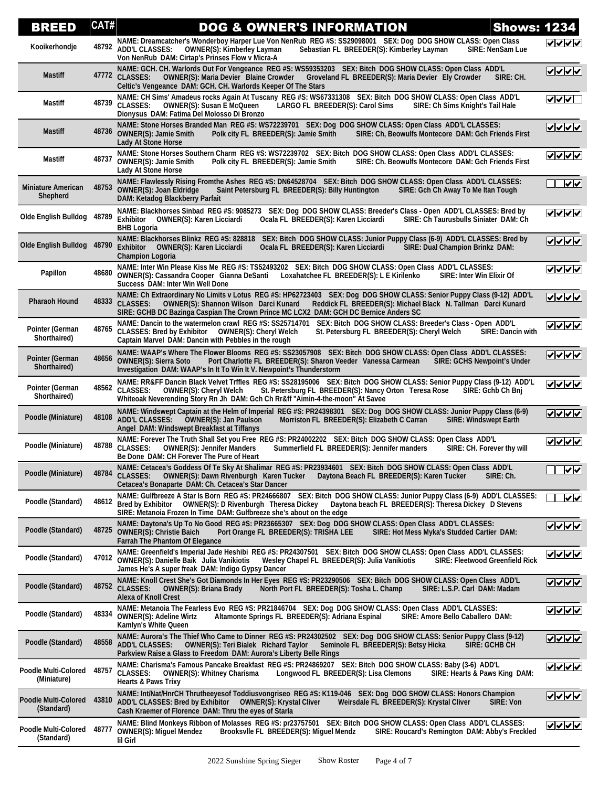| <b>BREED</b>                               | CAT#  | <b>DOG &amp; OWNER'S INFORMATION</b>                                                                                                                                                                                                                                                                                                     | <b>Shows: 1234</b> |                                                                                                                                          |
|--------------------------------------------|-------|------------------------------------------------------------------------------------------------------------------------------------------------------------------------------------------------------------------------------------------------------------------------------------------------------------------------------------------|--------------------|------------------------------------------------------------------------------------------------------------------------------------------|
| Kooikerhondje                              | 48792 | NAME: Dreamcatcher's Wonderboy Harper Lue Von NenRub REG #S: SS29098001 SEX: Dog DOG SHOW CLASS: Open Class<br><b>ADD'L CLASSES:</b><br><b>OWNER(S): Kimberley Layman</b><br>Sebastian FL BREEDER(S): Kimberley Layman<br>Von NenRub DAM: Cirtap's Prinses Flow v Micra-A                                                                | SIRE: NenSam Lue   | ママママ                                                                                                                                     |
| <b>Mastiff</b>                             |       | NAME: GCH. CH. Warlords Out For Vengeance REG #S: WS59353203 SEX: Bitch DOG SHOW CLASS: Open Class ADD'L<br>47772 CLASSES:<br>OWNER(S): Maria Devier Blaine Crowder Groveland FL BREEDER(S): Maria Devier Ely Crowder<br>Celtic's Vengeance DAM: GCH. CH. Warlords Keeper Of The Stars                                                   | SIRE: CH.          |                                                                                                                                          |
| Mastiff                                    | 48739 | NAME: CH Sims' Amadeus rocks Again At Tuscany REG #S: WS67331308 SEX: Bitch DOG SHOW CLASS: Open Class ADD'L<br><b>CLASSES:</b><br>OWNER(S): Susan E McQueen<br>LARGO FL BREEDER(S): Carol Sims<br>SIRE: Ch Sims Knight's Tail Hale<br>Dionysus DAM: Fatima Del Molosso Di Bronzo                                                        |                    | $\sqrt{\sqrt{2}}$                                                                                                                        |
| <b>Mastiff</b>                             | 48736 | NAME: Stone Horses Branded Man REG #S: WS72239701 SEX: Dog DOG SHOW CLASS: Open Class ADD'L CLASSES:<br><b>OWNER(S): Jamie Smith</b><br>Polk city FL BREEDER(S): Jamie Smith<br>SIRE: Ch, Beowulfs Montecore DAM: Gch Friends First<br><b>Lady At Stone Horse</b>                                                                        |                    | $\begin{array}{ c c c }\hline \textbf{r} & \textbf{r} & \textbf{r} \\ \hline \textbf{r} & \textbf{r} & \textbf{r} \\ \hline \end{array}$ |
| Mastiff                                    | 48737 | NAME: Stone Horses Southern Charm REG #S: WS72239702 SEX: Bitch DOG SHOW CLASS: Open Class ADD'L CLASSES:<br><b>OWNER(S): Jamie Smith</b><br>Polk city FL BREEDER(S): Jamie Smith<br>SIRE: Ch. Beowulfs Montecore DAM: Gch Friends First<br><b>Lady At Stone Horse</b>                                                                   |                    | ママママ                                                                                                                                     |
| <b>Miniature American</b><br>Shepherd      | 48753 | NAME: Flawlessly Rising Fromthe Ashes REG #S: DN64528704 SEX: Bitch DOG SHOW CLASS: Open Class ADD'L CLASSES:<br><b>OWNER(S): Joan Eldridge</b><br>Saint Petersburg FL BREEDER(S): Billy Huntington<br>SIRE: Gch Ch Away To Me Itan Tough<br>DAM: Ketadog Blackberry Parfait                                                             |                    | $  \boldsymbol{\triangledown}  $                                                                                                         |
| <b>Olde English Bulldog</b>                | 48789 | NAME: Blackhorses Sinbad REG #S: 9085273 SEX: Dog DOG SHOW CLASS: Breeder's Class - Open ADD'L CLASSES: Bred by<br>Exhibitor OWNER(S): Karen Licciardi<br>Ocala FL BREEDER(S): Karen Licciardi<br>SIRE: Ch Taurusbulls Siniater DAM: Ch<br><b>BHB Logoria</b>                                                                            |                    | ママママ                                                                                                                                     |
| <b>Olde English Bulldog</b>                | 48790 | NAME: Blackhorses Blinkz REG #S: 828818 SEX: Bitch DOG SHOW CLASS: Junior Puppy Class (6-9) ADD'L CLASSES: Bred by<br><b>Exhibitor</b><br>OWNER(S): Karen Licciardi<br>Ocala FL BREEDER(S): Karen Licciardi<br><b>SIRE: Dual Champion Brinkz DAM:</b><br><b>Champion Logoria</b>                                                         |                    | $ V $ $ V $                                                                                                                              |
| Papillon                                   | 48680 | NAME: Inter Win Please Kiss Me REG #S: TS52493202 SEX: Bitch DOG SHOW CLASS: Open Class ADD'L CLASSES:<br>OWNER(S): Cassandra Cooper Gianna DeSanti Loxahatchee FL BREEDER(S): L E Kirilenko<br>SIRE: Inter Win Elixir Of<br>Success DAM: Inter Win Well Done                                                                            |                    | ママママ                                                                                                                                     |
| <b>Pharaoh Hound</b>                       | 48333 | NAME: Ch Extraordinary No Limits v Lotus REG #S: HP62723403 SEX: Dog DOG SHOW CLASS: Senior Puppy Class (9-12) ADD'L<br><b>CLASSES:</b><br>OWNER(S): Shannon Wilson Darci Kunard<br>Reddick FL BREEDER(S): Michael Black N. Tallman Darci Kunard<br>SIRE: GCHB DC Bazinga Caspian The Crown Prince MC LCX2 DAM: GCH DC Bernice Anders SC |                    | ∣⊽∣⊽∣⊽∣                                                                                                                                  |
| Pointer (German<br>Shorthaired)            | 48765 | NAME: Dancin to the watermelon crawl REG #S: SS25714701 SEX: Bitch DOG SHOW CLASS: Breeder's Class - Open ADD'L<br>CLASSES: Bred by Exhibitor  OWNER(S): Cheryl Welch<br>St. Petersburg FL BREEDER(S): Cheryl Welch<br>Captain Marvel DAM: Dancin with Pebbles in the rough                                                              | SIRE: Dancin with  | ⊽⊽⊽⊽                                                                                                                                     |
| <b>Pointer (German</b><br>Shorthaired)     | 48656 | NAME: WAAP's Where The Flower Blooms REG #S: SS23057908 SEX: Bitch DOG SHOW CLASS: Open Class ADD'L CLASSES:<br><b>OWNER(S): Sierra Soto</b><br>Port Charlotte FL BREEDER(S): Sharon Veeder Vanessa Carmean<br><b>SIRE: GCHS Newpoint's Under</b><br>Investigation DAM: WAAP's In It To Win It V. Newpoint's Thunderstorm                |                    | ママママ                                                                                                                                     |
| Pointer (German<br>Shorthaired)            |       | NAME: RR&FF Dancin Black Velvet Trffles REG #S: SS28195006 SEX: Bitch DOG SHOW CLASS: Senior Puppy Class (9-12) ADD'L<br>48562 CLASSES.<br>OWNER(S): Cheryl Welch<br>St. Petersburg FL BREEDER(S): Nancy Orton Teresa Rose<br>Whiteoak Neverending Story Rn Jh DAM: Gch Ch Rr&ff "Aimin-4-the-moon" At Savee                             | SIRE: Gchb Ch Bnj  | ママママ                                                                                                                                     |
| Poodle (Miniature)                         | 48108 | NAME: Windswept Captain at the Helm of Imperial REG #S: PR24398301 SEX: Dog DOG SHOW CLASS: Junior Puppy Class (6-9)<br>ADD'L CLASSES: OWNER(S): Jan Paulson<br>Morriston FL BREEDER(S): Elizabeth C Carran<br><b>SIRE: Windswept Earth</b><br>Angel DAM: Windswept Breakfast at Tiffanys                                                |                    | $ V $ $ V $                                                                                                                              |
| Poodle (Miniature)                         | 48788 | NAME: Forever The Truth Shall Set you Free REG #S: PR24002202 SEX: Bitch DOG SHOW CLASS: Open Class ADD'L<br>SIRE: CH. Forever thy will<br><b>CLASSES:</b><br><b>OWNER(S): Jennifer Manders</b><br>Summerfield FL BREEDER(S): Jennifer manders<br>Be Done DAM: CH Forever The Pure of Heart                                              |                    | ママママ                                                                                                                                     |
| Poodle (Miniature)                         | 48784 | NAME: Cetacea's Goddess Of Te Sky At Shalimar REG #S: PR23934601 SEX: Bitch DOG SHOW CLASS: Open Class ADD'L<br><b>CLASSES:</b><br><b>OWNER(S): Dawn Rivenburgh Karen Tucker</b><br>Daytona Beach FL BREEDER(S): Karen Tucker<br>Cetacea's Bonaparte DAM: Ch. Cetacea's Star Dancer                                                      | SIRE: Ch.          | $\sqrt{2}$                                                                                                                               |
| Poodle (Standard)                          |       | NAME: Gulfbreeze A Star Is Born REG #S: PR24666807 SEX: Bitch DOG SHOW CLASS: Junior Puppy Class (6-9) ADD'L CLASSES:<br>48612 Bred by Exhibitor OWNER(S): D Rivenburgh Theresa Dickey<br>Daytona beach FL BREEDER(S): Theresa Dickey D Stevens<br>SIRE: Metanoia Frozen In Time DAM: Gulfbreeze she's about on the edge                 |                    | $\overline{\mathsf{v}}$                                                                                                                  |
| Poodle (Standard)                          | 48725 | NAME: Daytona's Up To No Good REG #S: PR23665307 SEX: Dog DOG SHOW CLASS: Open Class ADD'L CLASSES:<br><b>OWNER(S): Christie Baich</b><br>SIRE: Hot Mess Myka's Studded Cartier DAM:<br>Port Orange FL BREEDER(S): TRISHA LEE<br><b>Farrah The Phantom Of Elegance</b>                                                                   |                    | $ V $ $ V $                                                                                                                              |
| Poodle (Standard)                          | 47012 | NAME: Greenfield's Imperial Jade Heshibi REG #S: PR24307501 SEX: Bitch DOG SHOW CLASS: Open Class ADD'L CLASSES:<br><b>OWNER(S): Danielle Baik Julia Vanikiotis</b><br>Wesley Chapel FL BREEDER(S): Julia Vanikiotis<br><b>SIRE: Fleetwood Greenfield Rick</b><br>James He's A super freak DAM: Indigo Gypsy Dancer                      |                    | ママママ                                                                                                                                     |
| Poodle (Standard)                          |       | NAME: Knoll Crest She's Got Diamonds In Her Eyes REG #S: PR23290506 SEX: Bitch DOG SHOW CLASS: Open Class ADD'L<br>48752 CLASSES:<br><b>OWNER(S): Briana Brady</b><br>North Port FL BREEDER(S): Tosha L. Champ<br>SIRE: L.S.P. Carl DAM: Madam<br><b>Alexa of Knoll Crest</b>                                                            |                    | V V V V                                                                                                                                  |
| Poodle (Standard)                          | 48334 | NAME: Metanoia The Fearless Evo REG #S: PR21846704 SEX: Dog DOG SHOW CLASS: Open Class ADD'L CLASSES:<br>SIRE: Amore Bello Caballero DAM:<br><b>OWNER(S): Adeline Wirtz</b><br>Altamonte Springs FL BREEDER(S): Adriana Espinal<br><b>Kamlyn's White Queen</b>                                                                           |                    | ママママ                                                                                                                                     |
| Poodle (Standard)                          | 48558 | NAME: Aurora's The Thief Who Came to Dinner REG #S: PR24302502 SEX: Dog DOG SHOW CLASS: Senior Puppy Class (9-12)<br><b>ADD'L CLASSES:</b><br><b>OWNER(S): Teri Bialek Richard Taylor</b><br>Seminole FL BREEDER(S): Betsy Hicka<br>SIRE: GCHB CH<br>Parkview Raise a Glass to Freedom DAM: Aurora's Liberty Belle Rings                 |                    | V V V V                                                                                                                                  |
| <b>Poodle Multi-Colored</b><br>(Miniature) | 48757 | NAME: Charisma's Famous Pancake Breakfast REG #S: PR24869207 SEX: Bitch DOG SHOW CLASS: Baby (3-6) ADD'L<br><b>CLASSES:</b><br>SIRE: Hearts & Paws King DAM:<br><b>OWNER(S): Whitney Charisma</b><br>Longwood FL BREEDER(S): Lisa Clemons<br><b>Hearts &amp; Paws Trixy</b>                                                              |                    | ママママ                                                                                                                                     |
| Poodle Multi-Colored<br>(Standard)         | 43810 | NAME: Int/Nat/HnrCH Thrutheeyesof Toddiusvongriseo REG #S: K119-046 SEX: Dog DOG SHOW CLASS: Honors Champion<br>ADD'L CLASSES: Bred by Exhibitor  OWNER(S): Krystal Cliver<br>Weirsdale FL BREEDER(S): Krystal Cliver<br>Cash Kraemer of Florence DAM: Thru the eyes of Starla                                                           | SIRE: Von          | <u>जनगर</u>                                                                                                                              |
| Poodle Multi-Colored<br>(Standard)         | 48777 | NAME: Blind Monkeys Ribbon of Molasses REG #S: pr23757501 SEX: Bitch DOG SHOW CLASS: Open Class ADD'L CLASSES:<br><b>OWNER(S): Miguel Mendez</b><br>Brooksvile FL BREEDER(S): Miguel Mendz<br>SIRE: Roucard's Remington DAM: Abby's Freckled<br>lil Girl                                                                                 |                    | ママママ                                                                                                                                     |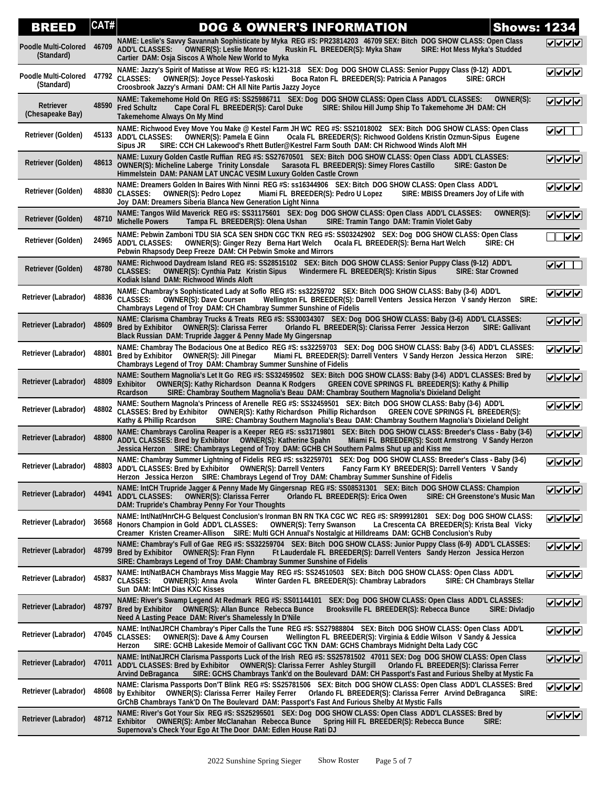| <b>BREED</b>                              | CAT#  | <b>Shows: 1234</b><br><b>DOG &amp; OWNER'S INFORMATION</b>                                                                                                                                                                                                                                                                                                                |                                     |
|-------------------------------------------|-------|---------------------------------------------------------------------------------------------------------------------------------------------------------------------------------------------------------------------------------------------------------------------------------------------------------------------------------------------------------------------------|-------------------------------------|
| <b>Poodle Multi-Colored</b><br>(Standard) | 46709 | NAME: Leslie's Savvy Savannah Sophisticate by Myka REG #S: PR23814203 46709 SEX: Bitch DOG SHOW CLASS: Open Class<br>ADD'L CLASSES: OWNER(S): Leslie Monroe<br>Ruskin FL BREEDER(S): Myka Shaw<br><b>SIRE: Hot Mess Myka's Studded</b><br>Cartier DAM: Osja Siscos A Whole New World to Myka                                                                              | マンノン                                |
| Poodle Multi-Colored<br>(Standard)        | 47792 | NAME: Jazzy's Spirit of Matisse at Wow REG #S: k121-318 SEX: Dog DOG SHOW CLASS: Senior Puppy Class (9-12) ADD'L<br><b>CLASSES:</b><br>OWNER(S): Joyce Pessel-Yaskoski<br>Boca Raton FL BREEDER(S): Patricia A Panagos<br><b>SIRE: GRCH</b><br>Croosbrook Jazzy's Armani DAM: CH All Nite Partis Jazzy Joyce                                                              | ママママ                                |
| Retriever<br>(Chesapeake Bay)             | 48590 | NAME: Takemehome Hold On  REG #S: SS25986711    SEX: Dog  DOG SHOW CLASS: Open Class  ADD'L CLASSES:<br>OWNER(S):<br><b>Fred Schultz</b><br>Cape Coral FL BREEDER(S): Carol Duke<br>SIRE: Shilou Hill Jump Ship To Takemehome JH DAM: CH<br><b>Takemehome Always On My Mind</b>                                                                                           | ママママ                                |
| Retriever (Golden)                        | 45133 | NAME: Richwood Evey Move You Make @ Kestel Farm JH WC REG #S: SS21018002 SEX: Bitch DOG SHOW CLASS: Open Class<br><b>ADD'L CLASSES:</b><br><b>OWNER(S): Pamela E Ginn</b><br>Ocala FL BREEDER(S): Richwood Goldens Kristin Ozmun-Sipus Eugene<br>SIRE: CCH CH Lakewood's Rhett Butler@Kestrel Farm South DAM: CH Richwood Winds Aloft MH<br>Sipus JR                      | $\sqrt{\sqrt{1-\frac{1}{2}}}$       |
| Retriever (Golden)                        | 48613 | NAME: Luxury Golden Castle Ruffian  REG #S: SS27670501    SEX: Bitch  DOG SHOW CLASS: Open Class  ADD'L CLASSES:<br><b>OWNER(S): Micheline Laberge Trinity Lonsdale</b><br>Sarasota FL BREEDER(S): Simey Flores Castillo<br>SIRE: Gaston De<br>Himmelstein DAM: PANAM LAT UNCAC VESIM Luxury Golden Castle Crown                                                          | <u>VVVV</u>                         |
| Retriever (Golden)                        | 48830 | NAME: Dreamers Golden In Baires With Ninni REG #S: ss16344906 SEX: Bitch DOG SHOW CLASS: Open Class ADD'L<br><b>CLASSES:</b><br><b>OWNER(S): Pedro Lopez</b><br>Miami FL BREEDER(S): Pedro U Lopez<br>SIRE: MBISS Dreamers Joy of Life with<br>Joy DAM: Dreamers Siberia Blanca New Generation Light Ninna                                                                | ママママ                                |
| <b>Retriever (Golden)</b>                 | 48710 | NAME: Tangos Wild Maverick REG #S: SS31175601 SEX: Dog DOG SHOW CLASS: Open Class ADD'L CLASSES:<br>OWNER(S):<br><b>Michelle Powers</b><br>Tampa FL BREEDER(S): Olena Ushan<br>SIRE: Tramin Tango DAM: Tramin Violet Gaby                                                                                                                                                 | <u>VVVV</u>                         |
| Retriever (Golden)                        | 24965 | NAME: Pebwin Zamboni TDU SIA SCA SEN SHDN CGC TKN REG #S: SS03242902 SEX: Dog DOG SHOW CLASS: Open Class<br><b>ADD'L CLASSES:</b><br>OWNER(S): Ginger Rezy Berna Hart Welch<br>Ocala FL BREEDER(S): Berna Hart Welch<br>SIRE: CH<br>Pebwin Rhapsody Deep Freeze DAM: CH Pebwin Smoke and Mirrors                                                                          | $  \bm\sqrt  }$                     |
| <b>Retriever (Golden)</b>                 | 48780 | NAME: Richwood Daydream Island REG #S: SS28515102 SEX: Bitch DOG SHOW CLASS: Senior Puppy Class (9-12) ADD'L<br><b>CLASSES:</b><br>OWNER(S): Cynthia Patz Kristin Sipus Windermere FL BREEDER(S): Kristin Sipus<br><b>SIRE: Star Crowned</b><br>Kodiak Island DAM: Richwood Winds Aloft                                                                                   | $\sqrt{ \mathbf{v} }$               |
| Retriever (Labrador)                      | 48836 | NAME: Chambray's Sophisticated Lady at Soflo REG #S: ss32259702 SEX: Bitch DOG SHOW CLASS: Baby (3-6) ADD'L<br><b>CLASSES:</b><br>Wellington FL BREEDER(S): Darrell Venters Jessica Herzon V sandy Herzon SIRE:<br><b>OWNER(S): Dave Coursen</b><br>Chambrays Legend of Troy DAM: CH Chambray Summer Sunshine of Fidelis                                                  | ⊽⊽⊽⊽                                |
| Retriever (Labrador)                      | 48609 | NAME: Clarisma Chambray Trucks & Treats REG #S: SS30034307 SEX: Dog DOG SHOW CLASS: Baby (3-6) ADD'L CLASSES:<br>Orlando FL BREEDER(S): Clarissa Ferrer Jessica Herzon<br>Bred by Exhibitor  OWNER(S): Clarissa Ferrer<br><b>SIRE: Gallivant</b><br>Black Russian DAM: Trupride Jagger & Penny Made My Gingersnap                                                         | $ V $ $ V $                         |
| Retriever (Labrador)                      | 48801 | NAME: Chambray The Bodacious One at Bedico REG #S: ss32259703 SEX: Dog DOG SHOW CLASS: Baby (3-6) ADD'L CLASSES:<br>Miami FL BREEDER(S): Darrell Venters V Sandy Herzon Jessica Herzon SIRE:<br>Bred by Exhibitor OWNER(S): Jill Pinegar<br>Chambrays Legend of Troy DAM: Chambray Summer Sunshine of Fidelis                                                             | ママママ                                |
| Retriever (Labrador)                      | 48809 | NAME: Southern Magnolia's Let It Go REG #S: SS32459502 SEX: Bitch DOG SHOW CLASS: Baby (3-6) ADD'L CLASSES: Bred by<br>Exhibitor<br>OWNER(S): Kathy Richardson Deanna K Rodgers GREEN COVE SPRINGS FL BREEDER(S): Kathy & Phillip<br>Rcardson<br>SIRE: Chambray Southern Magnolia's Beau DAM: Chambray Southern Magnolia's Dixieland Delight                              | <u>VVVV</u>                         |
| Retriever (Labrador)                      | 48802 | NAME: Southern Magnola's Princess of Arenelle REG #S: SS32459501 SEX: Bitch DOG SHOW CLASS: Baby (3-6) ADD'L<br>CLASSES: Bred by Exhibitor OWNER(S): Kathy Richardson Phillip Richardson GREEN COVE SPRINGS FL BREEDER(S):<br>Kathy & Phillip Rcardson<br>SIRE: Chambray Southern Magnolia's Beau DAM: Chambray Southern Magnolia's Dixieland Delight                     | ママママ                                |
| Retriever (Labrador)                      | 48800 | NAME: Chambrays Carolina Reaper is a Keeper REG #S: ss31719801 SEX: Bitch DOG SHOW CLASS: Breeder's Class - Baby (3-6)<br>ADD'L CLASSES: Bred by Exhibitor  OWNER(S): Katherine Spahn<br>Miami FL BREEDER(S): Scott Armstrong V Sandy Herzon<br>Jessica Herzon SIRE: Chambrays Legend of Troy DAM: GCHB CH Southern Palms Shut up and Kiss me                             | <u> जनगण</u>                        |
| Retriever (Labrador) 48803                |       | NAME: Chambray Summer Lightning of Fidelis REG #S: ss32259701 SEX: Dog DOG SHOW CLASS: Breeder's Class - Baby (3-6)<br>Fancy Farm KY BREEDER(S): Darrell Venters V Sandy<br>Herzon Jessica Herzon SIRE: Chambrays Legend of Troy DAM: Chambray Summer Sunshine of Fidelis                                                                                                 | ママママ                                |
| Retriever (Labrador)                      | 44941 | NAME: IntCH Trupride Jagger & Penny Made My Gingersnap REG #S: SS08531301 SEX: Bitch DOG SHOW CLASS: Champion<br>ADD'L CLASSES: OWNER(S): Clarissa Ferrer<br>Orlando FL BREEDER(S): Erica Owen<br><b>SIRE: CH Greenstone's Music Man</b><br>DAM: Trupride's Chambray Penny For Your Thoughts                                                                              | <u>VVVV</u>                         |
| Retriever (Labrador)                      | 36568 | NAME: Int/Nat/HnrCH-G Belquest Conclusion's Ironman BN RN TKA CGC WC REG #S: SR99912801 SEX: Dog DOG SHOW CLASS:<br>Honors Champion in Gold ADD'L CLASSES:<br><b>OWNER(S): Terry Swanson</b><br>La Crescenta CA BREEDER(S): Krista Beal Vicky<br>Creamer Kristen Creamer-Allison SIRE: Multi GCH Annual's Nostalgic at Hilldreams DAM: GCHB Conclusion's Ruby             | $ V $ $ V $                         |
| Retriever (Labrador)                      | 48799 | NAME: Chambray's Full of Gae REG #S: SS32259704 SEX: Bitch_DOG SHOW CLASS: Junior Puppy Class (6-9)_ADD'L CLASSES:<br>Bred by Exhibitor OWNER(S): Fran Flynn<br>Ft Lauderdale FL BREEDER(S): Darrell Venters Sandy Herzon Jessica Herzon<br>SIRE: Chambrays Legend of Troy DAM: Chambray Summer Sunshine of Fidelis                                                       | <u>VVVV</u>                         |
| Retriever (Labrador)                      | 45837 | NAME: Int/NatBACH Chambrays Miss Maggie May REG #S: SS24510503 SEX: Bitch DOG SHOW CLASS: Open Class ADD'L<br><b>CLASSES:</b><br><b>OWNER(S): Anna Avola</b><br>Winter Garden FL BREEDER(S): Chambray Labradors<br><b>SIRE: CH Chambrays Stellar</b><br>Sun DAM: IntCH Dias KXC Kisses                                                                                    | $ {\bf v} $ $ {\bf v} $ $ {\bf v} $ |
| Retriever (Labrador)                      | 48797 | NAME: River's Swamp Legend At Redmark REG #S: SS01144101 SEX: Dog DOG SHOW CLASS: Open Class ADD'L CLASSES:<br>Bred by Exhibitor  OWNER(S): Allan Bunce  Rebecca Bunce<br>Brooksville FL BREEDER(S): Rebecca Bunce<br><b>SIRE: Divladio</b><br>Need A Lasting Peace DAM: River's Shamelessly In D'Nile                                                                    | <u> जन्या</u>                       |
| Retriever (Labrador)                      | 47045 | NAME: Int/NatJRCH Chambray's Piper Calls the Tune REG #S: SS27988804 SEX: Bitch DOG SHOW CLASS: Open Class ADD'L<br><b>CLASSES:</b><br>Wellington FL BREEDER(S): Virginia & Eddie Wilson V Sandy & Jessica<br><b>OWNER(S): Dave &amp; Amy Coursen</b><br>SIRE: GCHB Lakeside Memoir of Gallivant CGC TKN DAM: GCHS Chambrays Midnight Delta Lady CGC<br>Herzon            | <u>VVVV</u>                         |
| Retriever (Labrador)                      | 47011 | NAME: Int/NatJRCH Clarisma Passports Luck of the Irish REG #S: SS25781502 47011 SEX: Dog DOG SHOW CLASS: Open Class<br>ADD'L CLASSES: Bred by Exhibitor  OWNER(S): Clarissa Ferrer Ashley Sturgill<br>Orlando FL BREEDER(S): Clarissa Ferrer<br>SIRE: GCHS Chambrays Tank'd on the Boulevard DAM: CH Passport's Fast and Furious Shelby at Mystic Fa<br>Arvind DeBraganca | <u>VVVV</u>                         |
| Retriever (Labrador)                      | 48608 | NAME: Clarisma Passports Don'T Blink REG #S: SS25781506 SEX: Bitch DOG SHOW CLASS: Open Class ADD'L CLASSES: Bred<br>by Exhibitor OWNER(S): Clarissa Ferrer Hailey Ferrer Orlando FL BREEDER(S): Clarissa Ferrer Arvind DeBraganca<br>SIRE:<br>GrChB Chambrays Tank'D On The Boulevard DAM: Passport's Fast And Furious Shelby At Mystic Falls                            | <u>VVVV</u>                         |
| Retriever (Labrador)                      | 48712 | NAME: River's Got Your Six  REG #S: SS25295501    SEX: Dog  DOG SHOW CLASS: Open Class  ADD'L CLASSES: Bred by<br>Exhibitor OWNER(S): Amber McClanahan Rebecca Bunce<br>Spring Hill FL BREEDER(S): Rebecca Bunce<br>SIRE:<br>Supernova's Check Your Ego At The Door DAM: Edlen House Rati DJ                                                                              | $ v $ v $ v $                       |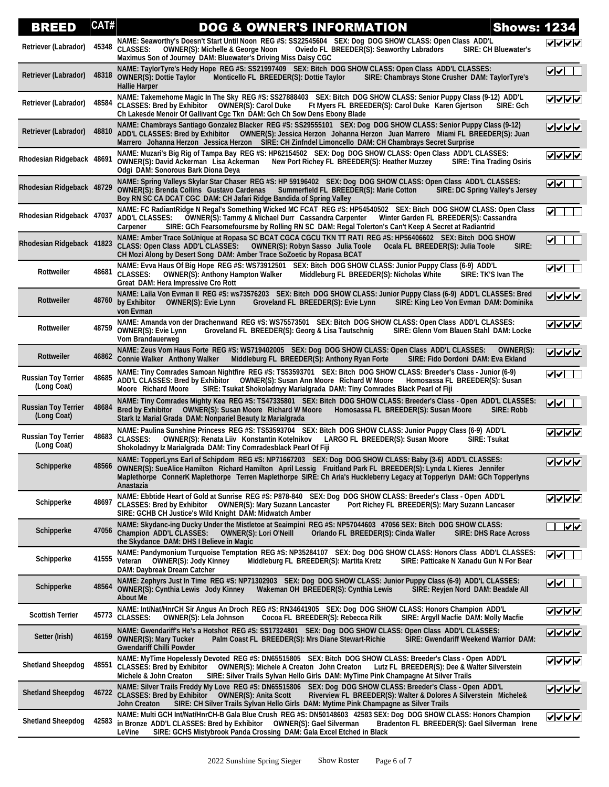| <b>BREED</b>                              | CAT#  | <b>Shows: 1234</b><br><b>DOG &amp; OWNER'S INFORMATION</b>                                                                                                                                                                                                                                                                                                              |                                  |
|-------------------------------------------|-------|-------------------------------------------------------------------------------------------------------------------------------------------------------------------------------------------------------------------------------------------------------------------------------------------------------------------------------------------------------------------------|----------------------------------|
| Retriever (Labrador)                      | 45348 | NAME: Seaworthy's Doesn't Start Until Noon REG #S: SS22545604 SEX: Dog DOG SHOW CLASS: Open Class ADD'L<br><b>CLASSES:</b><br><b>OWNER(S): Michelle &amp; George Noon</b><br>Oviedo FL BREEDER(S): Seaworthy Labradors<br><b>SIRE: CH Bluewater's</b><br>Maximus Son of Journey DAM: Bluewater's Driving Miss Daisy CGC                                                 | ママママ                             |
| Retriever (Labrador)                      | 48318 | NAME: TaylorTyre's Hedy Hope REG #S: SS21997409 SEX: Bitch DOG SHOW CLASS: Open Class ADD'L CLASSES:<br><b>OWNER(S): Dottie Taylor</b><br>Monticello FL BREEDER(S): Dottie Taylor<br>SIRE: Chambrays Stone Crusher DAM: TaylorTyre's<br><b>Hallie Harper</b>                                                                                                            | $  \boldsymbol{\triangledown}  $ |
| Retriever (Labrador)                      | 48584 | NAME: Takemehome Magic In The Sky REG #S: SS27888403 SEX: Bitch DOG SHOW CLASS: Senior Puppy Class (9-12) ADD'L<br>CLASSES: Bred by Exhibitor  OWNER(S): Carol Duke<br>Ft Myers FL BREEDER(S): Carol Duke Karen Gjertson<br>SIRE: Gch<br>Ch Lakesde Menoir Of Gallivant Cgc Tkn DAM: Gch Ch Sow Dens Ebony Blade                                                        | マンノン                             |
| Retriever (Labrador)                      | 48810 | NAME: Chambrays Santiago Gonzalez Blacker REG #S: SS29555101 SEX: Dog DOG SHOW CLASS: Senior Puppy Class (9-12)<br>ADD'L CLASSES: Bred by Exhibitor OWNER(S): Jessica Herzon Johanna Herzon Juan Marrero Miami FL BREEDER(S): Juan<br>Marrero Johanna Herzon Jessica Herzon SIRE: CH Zinfndel Limoncello DAM: CH Chambrays Secret Surprise                              | <u>VVVV</u>                      |
| Rhodesian Ridgeback 48691                 |       | NAME: Muzari's Big Rig of Tampa Bay REG #S: HP62154502 SEX: Dog DOG SHOW CLASS: Open Class ADD'L CLASSES:<br>OWNER(S): David Ackerman Lisa Ackerman<br>New Port Richey FL BREEDER(S): Heather Muzzey<br><b>SIRE: Tina Trading Osiris</b><br>Odgi DAM: Sonorous Bark Diona Deya                                                                                          | ママママ                             |
| Rhodesian Ridgeback 48729                 |       | NAME: Spring Valleys Skylar Star Chaser REG #S: HP 59196402 SEX: Dog DOG SHOW CLASS: Open Class ADD'L CLASSES:<br><b>OWNER(S): Brenda Collins Gustavo Cardenas</b><br>Summerfield FL BREEDER(S): Marie Cotton<br>SIRE: DC Spring Valley's Jersey<br>Boy RN SC CA DCAT CGC DAM: CH Jafari Ridge Bandida of Spring Valley                                                 | √ √                              |
| Rhodesian Ridgeback 47037                 |       | NAME: FC RadiantRidge N Regal's Something Wicked MC FCAT REG #S: HP54540502 SEX: Bitch DOG SHOW CLASS: Open Class<br><b>ADD'L CLASSES:</b><br><b>OWNER(S): Tammy &amp; Michael Durr Cassandra Carpenter</b><br>Winter Garden FL BREEDER(S): Cassandra<br>SIRE: GCh Fearsomefoursme by Rolling RN SC DAM: Regal Tolerton's Can't Keep A Secret at Radiantrid<br>Carpener | ∣✔∥                              |
| Rhodesian Ridgeback 41823                 |       | NAME: Amber Trace SoUnique at Ropasa SC BCAT CGCA CGCU TKN TT RATI REG #S: HP56406602 SEX: Bitch DOG SHOW<br>CLASS: Open Class ADD'L CLASSES: OWNER(S): Robyn Sasso Julia Toole<br>Ocala FL BREEDER(S): Julia Toole<br>SIRE:<br>CH Mozi Along by Desert Song DAM: Amber Trace SoZoetic by Ropasa BCAT                                                                   | $\blacktriangledown$             |
| <b>Rottweiler</b>                         | 48681 | NAME: Evva Haus Of Big Hope REG #S: WS73912501 SEX: Bitch DOG SHOW CLASS: Junior Puppy Class (6-9) ADD'L<br><b>CLASSES:</b><br>Middleburg FL BREEDER(S): Nicholas White<br>SIRE: TK'S Ivan The<br><b>OWNER(S): Anthony Hampton Walker</b><br>Great DAM: Hera Impressive Cro Rott                                                                                        | $ {\bf v} $                      |
| Rottweiler                                | 48760 | NAME: Laila Von Evman II REG #S: ws73576203 SEX: Bitch DOG SHOW CLASS: Junior Puppy Class (6-9) ADD'L CLASSES: Bred<br>by Exhibitor<br><b>OWNER(S): Evie Lynn</b><br>Groveland FL BREEDER(S): Evie Lynn<br>SIRE: King Leo Von Evman DAM: Dominika<br>von Evman                                                                                                          | ママママ                             |
| Rottweiler                                | 48759 | NAME: Amanda von der Drachenwand REG #S: WS75573501 SEX: Bitch DOG SHOW CLASS: Open Class ADD'L CLASSES:<br><b>OWNER(S): Evie Lynn</b><br>Groveland FL BREEDER(S): Georg & Lisa Tautschnig<br>SIRE: Glenn Vom Blauen Stahl DAM: Locke<br><b>Vom Brandauerweg</b>                                                                                                        |                                  |
| Rottweiler                                | 46862 | NAME: Zeus Vom Haus Forte REG #S: WS719402005 SEX: Dog DOG SHOW CLASS: Open Class ADD'L CLASSES:<br>OWNER(S):<br><b>Connie Walker Anthony Walker</b><br>Middleburg FL BREEDER(S): Anthony Ryan Forte<br>SIRE: Fido Dordoni DAM: Eva Ekland                                                                                                                              | ママイン                             |
| <b>Russian Toy Terrier</b><br>(Long Coat) | 48685 | NAME: Tiny Comrades Samoan Nightfire REG #S: TS53593701 SEX: Bitch DOG SHOW CLASS: Breeder's Class - Junior (6-9)<br>ADD'L CLASSES: Bred by Exhibitor  OWNER(S): Susan Ann Moore  Richard W Moore<br>Homosassa FL BREEDER(S): Susan<br>SIRE: Tsukat Shokoladnyy Marialgrada DAM: Tiny Comrades Black Pearl of Fiji<br>Moore Richard Moore                               | v                                |
| <b>Russian Toy Terrier</b><br>(Long Coat) | 48684 | NAME: Tiny Comrades Mighty Kea REG #S: TS47335801 SEX: Bitch DOG SHOW CLASS: Breeder's Class - Open ADD'L CLASSES:<br>Bred by Exhibitor  OWNER(S): Susan Moore  Richard W Moore<br>Homosassa FL BREEDER(S): Susan Moore<br>SIRE: Robb<br>Stark Iz Marial Grada DAM: Nonpariel Beauty Iz Marialgrada                                                                     | ⊽⊽                               |
| <b>Russian Toy Terrier</b><br>(Long Coat) | 48683 | NAME: Paulina Sunshine Princess REG #S: TS53593704 SEX: Bitch DOG SHOW CLASS: Junior Puppy Class (6-9) ADD'L<br><b>CLASSES:</b><br><b>SIRE: Tsukat</b><br>OWNER(S): Renata Liiv Konstantin Kotelnikov<br>LARGO FL BREEDER(S): Susan Moore<br>Shokoladnyy Iz Marialgrada DAM: Tiny Comradesblack Pearl Of Fiji                                                           | ママママ                             |
| Schipperke                                | 48566 | NAME: TopperLyns Earl of Schipdom REG #S: NP71667203 SEX: Dog DOG SHOW CLASS: Baby (3-6) ADD'L CLASSES:<br>OWNER(S): SueAlice Hamilton Richard Hamilton April Lessig Fruitland Park FL BREEDER(S): Lynda L Kieres Jennifer<br>Maplethorpe ConnerK Maplethorpe Terren Maplethorpe SIRE: Ch Aria's Huckleberry Legacy at Topperlyn DAM: GCh Topperlyns<br>Anastazia       | ママママ                             |
| Schipperke                                | 48697 | NAME: Ebbtide Heart of Gold at Sunrise REG #S: P878-840 SEX: Dog DOG SHOW CLASS: Breeder's Class - Open ADD'L<br>CLASSES: Bred by Exhibitor  OWNER(S): Mary Suzann Lancaster<br>Port Richey FL BREEDER(S): Mary Suzann Lancaser<br>SIRE: GCHB CH Justice's Wild Knight DAM: Midwatch Amber                                                                              | ママママ                             |
| Schipperke                                | 47056 | NAME: Skydanc-ing Ducky Under the Mistletoe at Seaimpini REG #S: NP57044603 47056 SEX: Bitch DOG SHOW CLASS:<br><b>Champion ADD'L CLASSES:</b><br><b>OWNER(S): Lori O'Neill</b><br>Orlando FL BREEDER(S): Cinda Waller<br><b>SIRE: DHS Race Across</b><br>the Skydance DAM: DHS I Believe in Magic                                                                      | $\sqrt{2}$                       |
| Schipperke                                | 41555 | NAME: Pandymonium Turquoise Temptation REG #S: NP35284107 SEX: Dog DOG SHOW CLASS: Honors Class ADD'L CLASSES:<br>Veteran OWNER(S): Jody Kinney<br>Middleburg FL BREEDER(S): Martita Kretz<br>SIRE: Patticake N Xanadu Gun N For Bear<br>DAM: Daybreak Dream Catcher                                                                                                    | է∤⊽                              |
| Schipperke                                | 48564 | NAME: Zephyrs Just In Time REG #S: NP71302903 SEX: Dog DOG SHOW CLASS: Junior Puppy Class (6-9) ADD'L CLASSES:<br><b>OWNER(S): Cynthia Lewis Jody Kinney</b><br>Wakeman OH BREEDER(S): Cynthia Lewis<br>SIRE: Reyjen Nord DAM: Beadale All<br><b>About Me</b>                                                                                                           | ⊻∨                               |
| <b>Scottish Terrier</b>                   |       | NAME: Int/Nat/HnrCH Sir Angus An Droch REG #S: RN34641905 SEX: Dog DOG SHOW CLASS: Honors Champion ADD'L<br>45773 CLASSES:<br>OWNER(S): Lela Johnson<br>Cocoa FL BREEDER(S): Rebecca Rilk<br>SIRE: Argyll Macfie DAM: Molly Macfie                                                                                                                                      | <u><b>レンヘン</b></u>               |
| Setter (Irish)                            | 46159 | NAME: Gwendariff's He's a Hotshot  REG #S: SS17324801    SEX: Dog  DOG SHOW CLASS: Open Class  ADD'L CLASSES:<br><b>OWNER(S): Mary Tucker</b><br>Palm Coast FL BREEDER(S): Mrs Diane Stewart-Richie<br>SIRE: Gwendariff Weekend Warrior DAM:<br><b>Gwendariff Chilli Powder</b>                                                                                         | ✓  ✓  ✓                          |
| <b>Shetland Sheepdog</b>                  | 48551 | NAME: MyTime Hopelessly Devoted REG #S: DN65515805 SEX: Bitch DOG SHOW CLASS: Breeder's Class - Open ADD'L<br><b>CLASSES: Bred by Exhibitor</b><br><b>OWNER(S): Michele A Creaton John Creaton</b><br>Lutz FL BREEDER(S): Dee & Walter Silverstein<br>Michele & John Creaton<br>SIRE: Silver Trails Sylvan Hello Girls DAM: MyTime Pink Champagne At Silver Trails      | <u>VVVV</u>                      |
| <b>Shetland Sheepdog</b>                  |       | NAME: Silver Trails Freddy My Love REG #S: DN65515806 SEX: Dog DOG SHOW CLASS: Breeder's Class - Open ADD'L<br>46722 CLASSES: Bred by Exhibitor  OWNER(S): Anita Scott<br>Riverview FL BREEDER(S): Walter & Dolores A Silverstein Michele&<br>SIRE: CH Silver Trails Sylvan Hello Girls DAM: Mytime Pink Champagne as Silver Trails<br>John Creaton                     |                                  |
| <b>Shetland Sheepdog</b>                  | 42583 | NAME: Multi GCH Int/Nat/HnrCH-B Gala Blue Crush REG #S: DN50148603 42583 SEX: Dog DOG SHOW CLASS: Honors Champion<br>in Bronze ADD'L CLASSES: Bred by Exhibitor  OWNER(S): Gael Silverman<br>Bradenton FL BREEDER(S): Gael Silverman Irene<br>LeVine<br>SIRE: GCHS Mistybrook Panda Crossing DAM: Gala Excel Etched in Black                                            | ママママ                             |